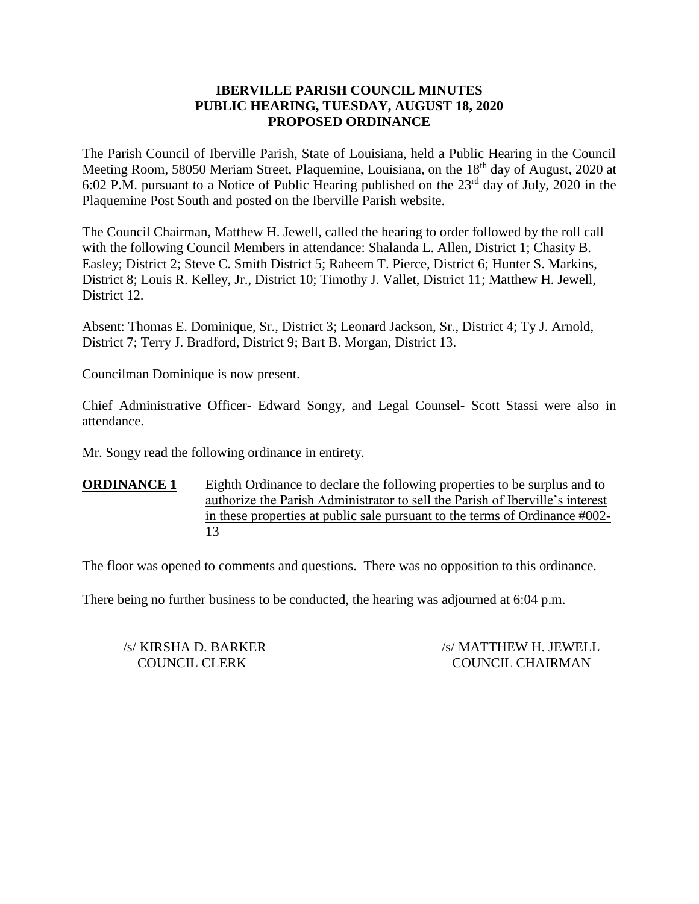### **IBERVILLE PARISH COUNCIL MINUTES PUBLIC HEARING, TUESDAY, AUGUST 18, 2020 PROPOSED ORDINANCE**

The Parish Council of Iberville Parish, State of Louisiana, held a Public Hearing in the Council Meeting Room, 58050 Meriam Street, Plaquemine, Louisiana, on the 18<sup>th</sup> day of August, 2020 at 6:02 P.M. pursuant to a Notice of Public Hearing published on the  $23<sup>rd</sup>$  day of July, 2020 in the Plaquemine Post South and posted on the Iberville Parish website.

The Council Chairman, Matthew H. Jewell, called the hearing to order followed by the roll call with the following Council Members in attendance: Shalanda L. Allen, District 1; Chasity B. Easley; District 2; Steve C. Smith District 5; Raheem T. Pierce, District 6; Hunter S. Markins, District 8; Louis R. Kelley, Jr., District 10; Timothy J. Vallet, District 11; Matthew H. Jewell, District 12.

Absent: Thomas E. Dominique, Sr., District 3; Leonard Jackson, Sr., District 4; Ty J. Arnold, District 7; Terry J. Bradford, District 9; Bart B. Morgan, District 13.

Councilman Dominique is now present.

Chief Administrative Officer- Edward Songy, and Legal Counsel- Scott Stassi were also in attendance.

Mr. Songy read the following ordinance in entirety.

**ORDINANCE 1** Eighth Ordinance to declare the following properties to be surplus and to authorize the Parish Administrator to sell the Parish of Iberville's interest in these properties at public sale pursuant to the terms of Ordinance #002- 13

The floor was opened to comments and questions. There was no opposition to this ordinance.

There being no further business to be conducted, the hearing was adjourned at 6:04 p.m.

/s/ KIRSHA D. BARKER /s/ MATTHEW H. JEWELL COUNCIL CLERK COUNCIL CHAIRMAN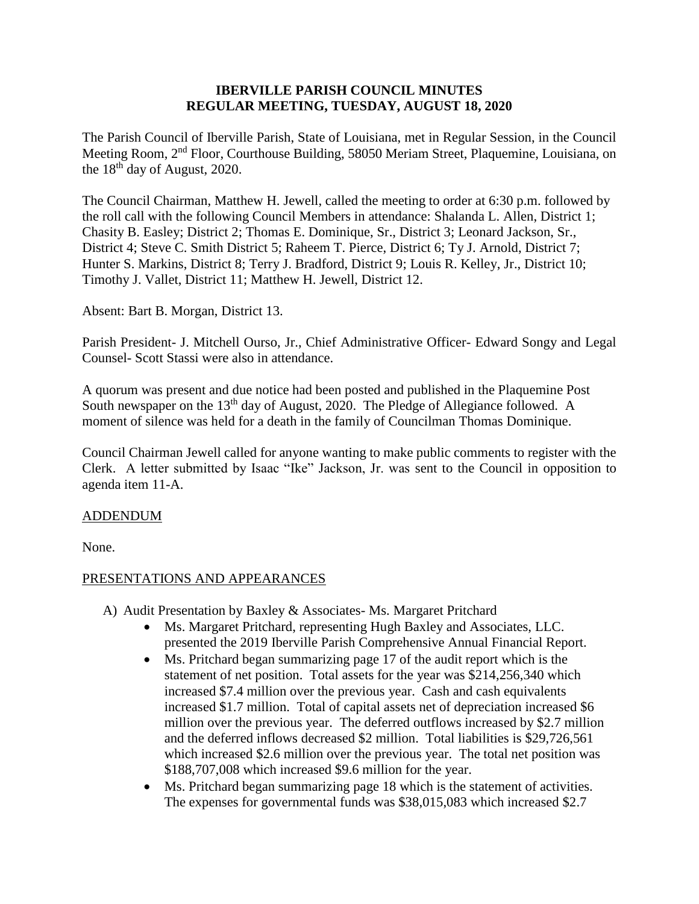### **IBERVILLE PARISH COUNCIL MINUTES REGULAR MEETING, TUESDAY, AUGUST 18, 2020**

The Parish Council of Iberville Parish, State of Louisiana, met in Regular Session, in the Council Meeting Room, 2nd Floor, Courthouse Building, 58050 Meriam Street, Plaquemine, Louisiana, on the 18<sup>th</sup> day of August, 2020.

The Council Chairman, Matthew H. Jewell, called the meeting to order at 6:30 p.m. followed by the roll call with the following Council Members in attendance: Shalanda L. Allen, District 1; Chasity B. Easley; District 2; Thomas E. Dominique, Sr., District 3; Leonard Jackson, Sr., District 4; Steve C. Smith District 5; Raheem T. Pierce, District 6; Ty J. Arnold, District 7; Hunter S. Markins, District 8; Terry J. Bradford, District 9; Louis R. Kelley, Jr., District 10; Timothy J. Vallet, District 11; Matthew H. Jewell, District 12.

Absent: Bart B. Morgan, District 13.

Parish President- J. Mitchell Ourso, Jr., Chief Administrative Officer- Edward Songy and Legal Counsel- Scott Stassi were also in attendance.

A quorum was present and due notice had been posted and published in the Plaquemine Post South newspaper on the 13<sup>th</sup> day of August, 2020. The Pledge of Allegiance followed. A moment of silence was held for a death in the family of Councilman Thomas Dominique.

Council Chairman Jewell called for anyone wanting to make public comments to register with the Clerk. A letter submitted by Isaac "Ike" Jackson, Jr. was sent to the Council in opposition to agenda item 11-A.

#### ADDENDUM

None.

# PRESENTATIONS AND APPEARANCES

- A) Audit Presentation by Baxley & Associates- Ms. Margaret Pritchard
	- Ms. Margaret Pritchard, representing Hugh Baxley and Associates, LLC. presented the 2019 Iberville Parish Comprehensive Annual Financial Report.
	- Ms. Pritchard began summarizing page 17 of the audit report which is the statement of net position. Total assets for the year was \$214,256,340 which increased \$7.4 million over the previous year. Cash and cash equivalents increased \$1.7 million. Total of capital assets net of depreciation increased \$6 million over the previous year. The deferred outflows increased by \$2.7 million and the deferred inflows decreased \$2 million. Total liabilities is \$29,726,561 which increased \$2.6 million over the previous year. The total net position was \$188,707,008 which increased \$9.6 million for the year.
	- Ms. Pritchard began summarizing page 18 which is the statement of activities. The expenses for governmental funds was \$38,015,083 which increased \$2.7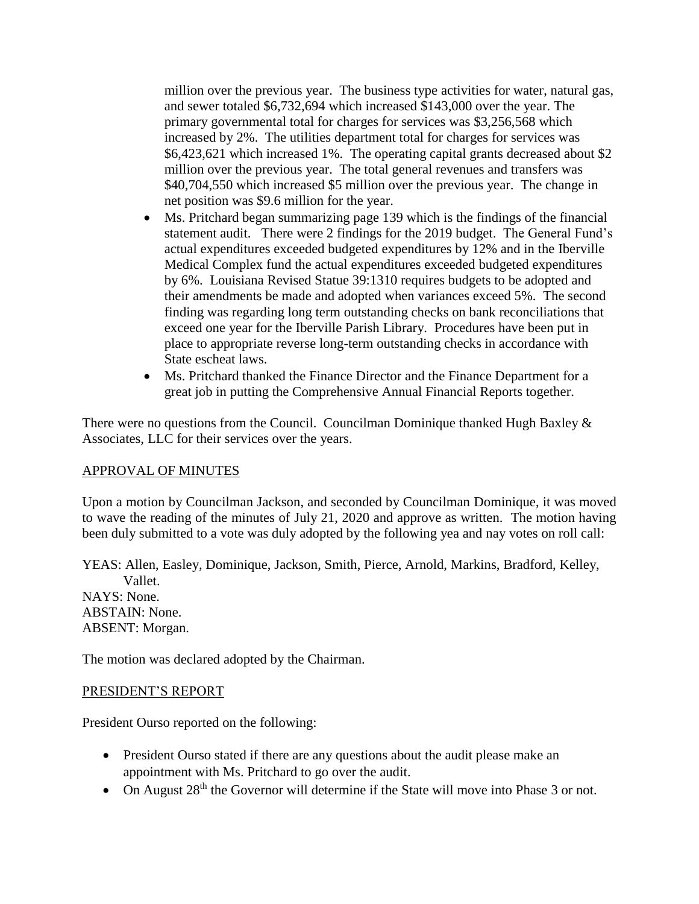million over the previous year. The business type activities for water, natural gas, and sewer totaled \$6,732,694 which increased \$143,000 over the year. The primary governmental total for charges for services was \$3,256,568 which increased by 2%. The utilities department total for charges for services was \$6,423,621 which increased 1%. The operating capital grants decreased about \$2 million over the previous year. The total general revenues and transfers was \$40,704,550 which increased \$5 million over the previous year. The change in net position was \$9.6 million for the year.

- Ms. Pritchard began summarizing page 139 which is the findings of the financial statement audit. There were 2 findings for the 2019 budget. The General Fund's actual expenditures exceeded budgeted expenditures by 12% and in the Iberville Medical Complex fund the actual expenditures exceeded budgeted expenditures by 6%. Louisiana Revised Statue 39:1310 requires budgets to be adopted and their amendments be made and adopted when variances exceed 5%. The second finding was regarding long term outstanding checks on bank reconciliations that exceed one year for the Iberville Parish Library. Procedures have been put in place to appropriate reverse long-term outstanding checks in accordance with State escheat laws.
- Ms. Pritchard thanked the Finance Director and the Finance Department for a great job in putting the Comprehensive Annual Financial Reports together.

There were no questions from the Council. Councilman Dominique thanked Hugh Baxley & Associates, LLC for their services over the years.

#### APPROVAL OF MINUTES

Upon a motion by Councilman Jackson, and seconded by Councilman Dominique, it was moved to wave the reading of the minutes of July 21, 2020 and approve as written. The motion having been duly submitted to a vote was duly adopted by the following yea and nay votes on roll call:

YEAS: Allen, Easley, Dominique, Jackson, Smith, Pierce, Arnold, Markins, Bradford, Kelley, Vallet. NAYS: None. ABSTAIN: None. ABSENT: Morgan.

The motion was declared adopted by the Chairman.

#### PRESIDENT'S REPORT

President Ourso reported on the following:

- President Ourso stated if there are any questions about the audit please make an appointment with Ms. Pritchard to go over the audit.
- On August 28<sup>th</sup> the Governor will determine if the State will move into Phase 3 or not.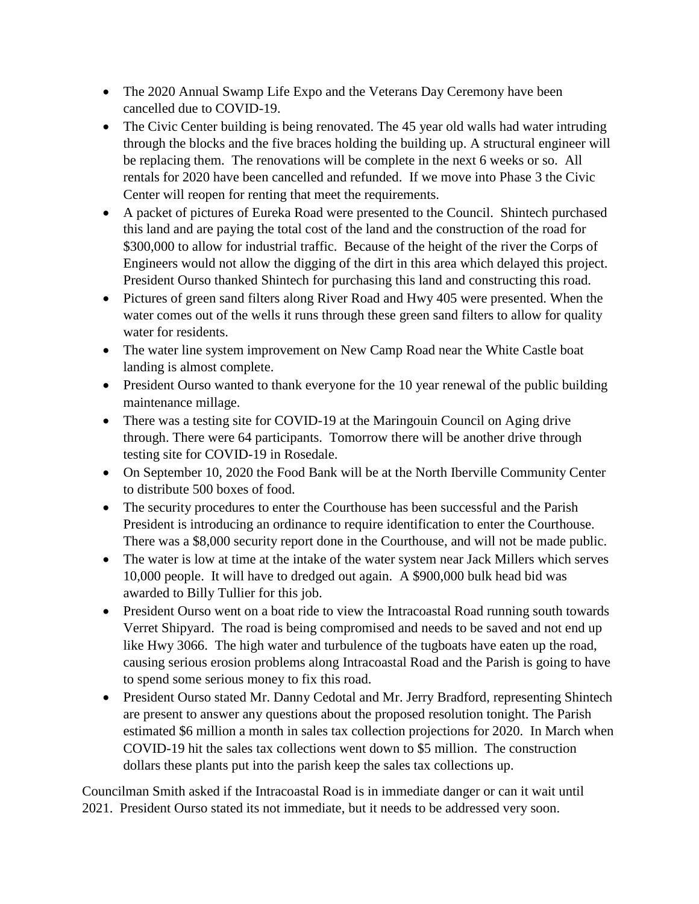- The 2020 Annual Swamp Life Expo and the Veterans Day Ceremony have been cancelled due to COVID-19.
- The Civic Center building is being renovated. The 45 year old walls had water intruding through the blocks and the five braces holding the building up. A structural engineer will be replacing them. The renovations will be complete in the next 6 weeks or so. All rentals for 2020 have been cancelled and refunded. If we move into Phase 3 the Civic Center will reopen for renting that meet the requirements.
- A packet of pictures of Eureka Road were presented to the Council. Shintech purchased this land and are paying the total cost of the land and the construction of the road for \$300,000 to allow for industrial traffic. Because of the height of the river the Corps of Engineers would not allow the digging of the dirt in this area which delayed this project. President Ourso thanked Shintech for purchasing this land and constructing this road.
- Pictures of green sand filters along River Road and Hwy 405 were presented. When the water comes out of the wells it runs through these green sand filters to allow for quality water for residents.
- The water line system improvement on New Camp Road near the White Castle boat landing is almost complete.
- President Ourso wanted to thank everyone for the 10 year renewal of the public building maintenance millage.
- There was a testing site for COVID-19 at the Maringouin Council on Aging drive through. There were 64 participants. Tomorrow there will be another drive through testing site for COVID-19 in Rosedale.
- On September 10, 2020 the Food Bank will be at the North Iberville Community Center to distribute 500 boxes of food.
- The security procedures to enter the Courthouse has been successful and the Parish President is introducing an ordinance to require identification to enter the Courthouse. There was a \$8,000 security report done in the Courthouse, and will not be made public.
- The water is low at time at the intake of the water system near Jack Millers which serves 10,000 people. It will have to dredged out again. A \$900,000 bulk head bid was awarded to Billy Tullier for this job.
- President Ourso went on a boat ride to view the Intracoastal Road running south towards Verret Shipyard. The road is being compromised and needs to be saved and not end up like Hwy 3066. The high water and turbulence of the tugboats have eaten up the road, causing serious erosion problems along Intracoastal Road and the Parish is going to have to spend some serious money to fix this road.
- President Ourso stated Mr. Danny Cedotal and Mr. Jerry Bradford, representing Shintech are present to answer any questions about the proposed resolution tonight. The Parish estimated \$6 million a month in sales tax collection projections for 2020. In March when COVID-19 hit the sales tax collections went down to \$5 million. The construction dollars these plants put into the parish keep the sales tax collections up.

Councilman Smith asked if the Intracoastal Road is in immediate danger or can it wait until 2021. President Ourso stated its not immediate, but it needs to be addressed very soon.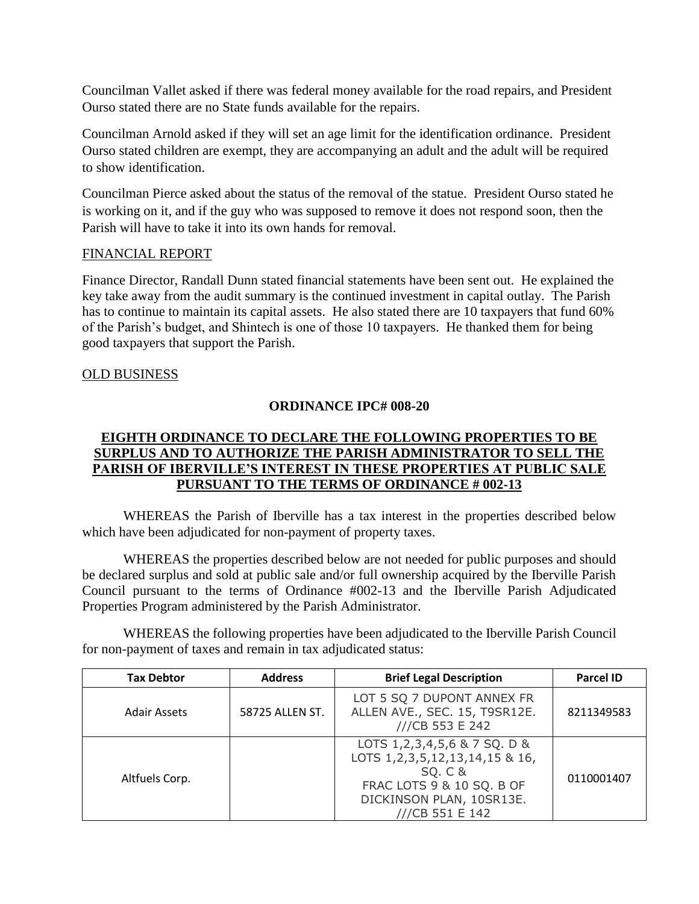Councilman Vallet asked if there was federal money available for the road repairs, and President Ourso stated there are no State funds available for the repairs.

Councilman Arnold asked if they will set an age limit for the identification ordinance. President Ourso stated children are exempt, they are accompanying an adult and the adult will be required to show identification.

Councilman Pierce asked about the status of the removal of the statue. President Ourso stated he is working on it, and if the guy who was supposed to remove it does not respond soon, then the Parish will have to take it into its own hands for removal.

# FINANCIAL REPORT

Finance Director, Randall Dunn stated financial statements have been sent out. He explained the key take away from the audit summary is the continued investment in capital outlay. The Parish has to continue to maintain its capital assets. He also stated there are 10 taxpayers that fund 60% of the Parish's budget, and Shintech is one of those 10 taxpayers. He thanked them for being good taxpayers that support the Parish.

### OLD BUSINESS

### **ORDINANCE IPC# 008-20**

# **EIGHTH ORDINANCE TO DECLARE THE FOLLOWING PROPERTIES TO BE SURPLUS AND TO AUTHORIZE THE PARISH ADMINISTRATOR TO SELL THE PARISH OF IBERVILLE'S INTEREST IN THESE PROPERTIES AT PUBLIC SALE PURSUANT TO THE TERMS OF ORDINANCE # 002-13**

WHEREAS the Parish of Iberville has a tax interest in the properties described below which have been adjudicated for non-payment of property taxes.

WHEREAS the properties described below are not needed for public purposes and should be declared surplus and sold at public sale and/or full ownership acquired by the Iberville Parish Council pursuant to the terms of Ordinance #002-13 and the Iberville Parish Adjudicated Properties Program administered by the Parish Administrator.

WHEREAS the following properties have been adjudicated to the Iberville Parish Council for non-payment of taxes and remain in tax adjudicated status:

| <b>Tax Debtor</b>   | <b>Address</b>  | <b>Brief Legal Description</b>                                                                                                                                    | <b>Parcel ID</b> |
|---------------------|-----------------|-------------------------------------------------------------------------------------------------------------------------------------------------------------------|------------------|
| <b>Adair Assets</b> | 58725 ALLEN ST. | LOT 5 SQ 7 DUPONT ANNEX FR<br>ALLEN AVE., SEC. 15, T9SR12E.<br>///CB 553 E 242                                                                                    | 8211349583       |
| Altfuels Corp.      |                 | LOTS 1, 2, 3, 4, 5, 6 & 7 SQ. D &<br>LOTS 1, 2, 3, 5, 12, 13, 14, 15 & 16,<br>SQ. C &<br>FRAC LOTS 9 & 10 SQ. B OF<br>DICKINSON PLAN, 10SR13E.<br>///CB 551 E 142 | 0110001407       |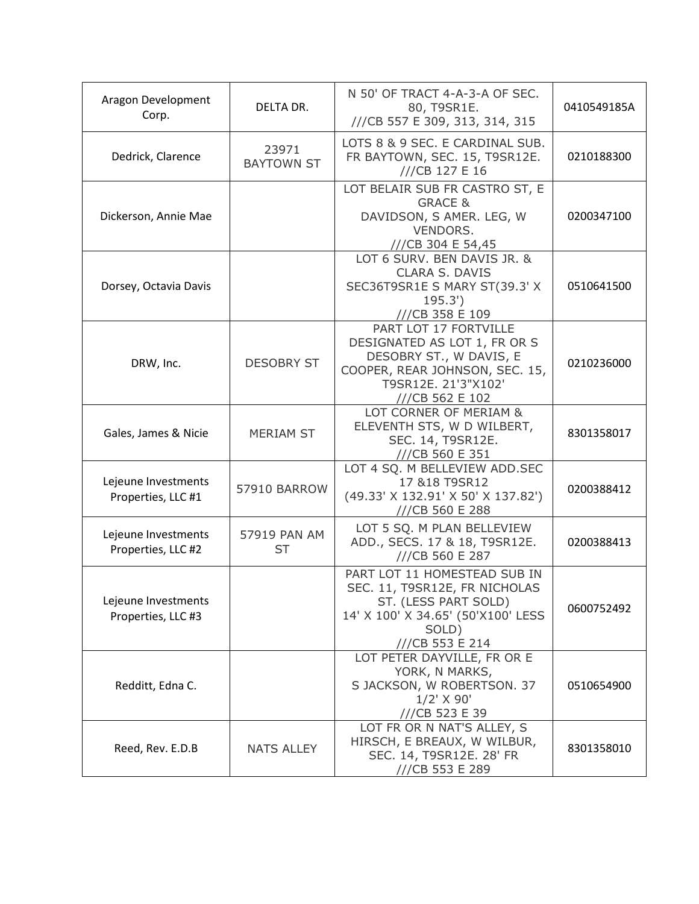| Aragon Development<br>Corp.               | DELTA DR.                  | N 50' OF TRACT 4-A-3-A OF SEC.<br>80, T9SR1E.<br>///CB 557 E 309, 313, 314, 315                                                                              | 0410549185A |
|-------------------------------------------|----------------------------|--------------------------------------------------------------------------------------------------------------------------------------------------------------|-------------|
| Dedrick, Clarence                         | 23971<br><b>BAYTOWN ST</b> | LOTS 8 & 9 SEC. E CARDINAL SUB.<br>FR BAYTOWN, SEC. 15, T9SR12E.<br>///CB 127 E 16                                                                           | 0210188300  |
| Dickerson, Annie Mae                      |                            | LOT BELAIR SUB FR CASTRO ST, E<br><b>GRACE &amp;</b><br>DAVIDSON, S AMER. LEG, W<br>VENDORS.<br>///CB 304 E 54,45                                            | 0200347100  |
| Dorsey, Octavia Davis                     |                            | LOT 6 SURV. BEN DAVIS JR. &<br><b>CLARA S. DAVIS</b><br>SEC36T9SR1E S MARY ST(39.3' X<br>195.3'<br>///CB 358 E 109                                           | 0510641500  |
| DRW, Inc.                                 | <b>DESOBRY ST</b>          | PART LOT 17 FORTVILLE<br>DESIGNATED AS LOT 1, FR OR S<br>DESOBRY ST., W DAVIS, E<br>COOPER, REAR JOHNSON, SEC. 15,<br>T9SR12E. 21'3"X102'<br>///CB 562 E 102 | 0210236000  |
| Gales, James & Nicie                      | <b>MERIAM ST</b>           | LOT CORNER OF MERIAM &<br>ELEVENTH STS, W D WILBERT,<br>SEC. 14, T9SR12E.<br>///CB 560 E 351                                                                 | 8301358017  |
| Lejeune Investments<br>Properties, LLC #1 | 57910 BARROW               | LOT 4 SQ. M BELLEVIEW ADD.SEC<br>17 & 18 T9SR12<br>(49.33' X 132.91' X 50' X 137.82')<br>///CB 560 E 288                                                     | 0200388412  |
| Lejeune Investments<br>Properties, LLC #2 | 57919 PAN AM<br>ST         | LOT 5 SQ. M PLAN BELLEVIEW<br>ADD., SECS. 17 & 18, T9SR12E.<br>///CB 560 E 287                                                                               | 0200388413  |
| Lejeune Investments<br>Properties, LLC #3 |                            | PART LOT 11 HOMESTEAD SUB IN<br>SEC. 11, T9SR12E, FR NICHOLAS<br>ST. (LESS PART SOLD)<br>14' X 100' X 34.65' (50'X100' LESS<br>SOLD)<br>///CB 553 E 214      | 0600752492  |
| Redditt, Edna C.                          |                            | LOT PETER DAYVILLE, FR OR E<br>YORK, N MARKS,<br>S JACKSON, W ROBERTSON. 37<br>$1/2'$ X 90'<br>///CB 523 E 39                                                | 0510654900  |
| Reed, Rev. E.D.B                          | <b>NATS ALLEY</b>          | LOT FR OR N NAT'S ALLEY, S<br>HIRSCH, E BREAUX, W WILBUR,<br>SEC. 14, T9SR12E. 28' FR<br>///CB 553 E 289                                                     | 8301358010  |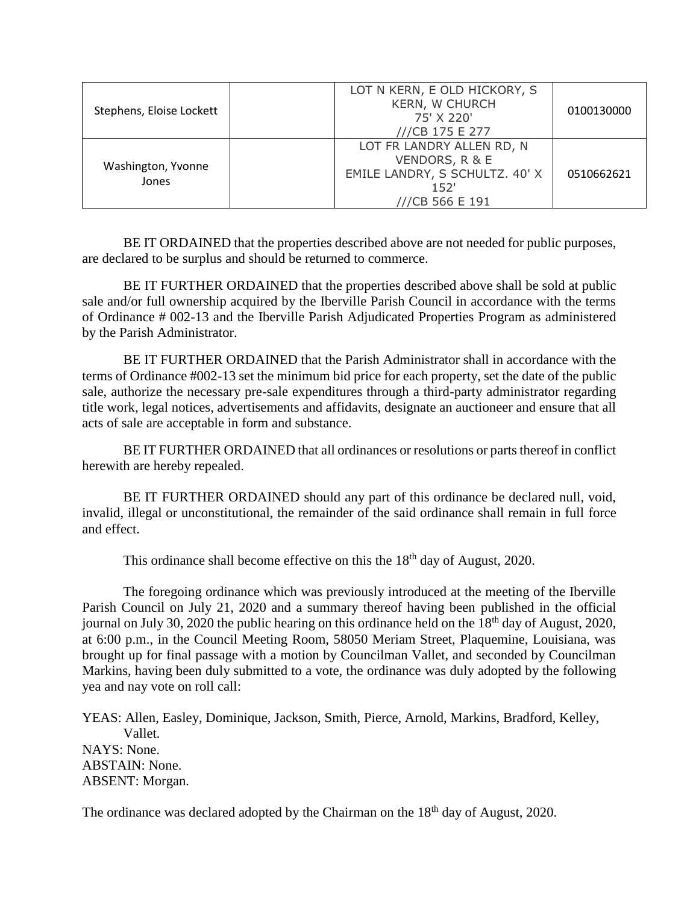| Stephens, Eloise Lockett    | LOT N KERN, E OLD HICKORY, S<br><b>KERN, W CHURCH</b><br>75' X 220'<br>///CB 175 E 277                   | 0100130000 |
|-----------------------------|----------------------------------------------------------------------------------------------------------|------------|
| Washington, Yvonne<br>Jones | LOT FR LANDRY ALLEN RD, N<br>VENDORS, R & E<br>EMILE LANDRY, S SCHULTZ. 40' X<br>152'<br>///CB 566 E 191 | 0510662621 |

BE IT ORDAINED that the properties described above are not needed for public purposes, are declared to be surplus and should be returned to commerce.

BE IT FURTHER ORDAINED that the properties described above shall be sold at public sale and/or full ownership acquired by the Iberville Parish Council in accordance with the terms of Ordinance # 002-13 and the Iberville Parish Adjudicated Properties Program as administered by the Parish Administrator.

BE IT FURTHER ORDAINED that the Parish Administrator shall in accordance with the terms of Ordinance #002-13 set the minimum bid price for each property, set the date of the public sale, authorize the necessary pre-sale expenditures through a third-party administrator regarding title work, legal notices, advertisements and affidavits, designate an auctioneer and ensure that all acts of sale are acceptable in form and substance.

BE IT FURTHER ORDAINED that all ordinances or resolutions or parts thereof in conflict herewith are hereby repealed.

BE IT FURTHER ORDAINED should any part of this ordinance be declared null, void, invalid, illegal or unconstitutional, the remainder of the said ordinance shall remain in full force and effect.

This ordinance shall become effective on this the  $18<sup>th</sup>$  day of August, 2020.

The foregoing ordinance which was previously introduced at the meeting of the Iberville Parish Council on July 21, 2020 and a summary thereof having been published in the official journal on July 30, 2020 the public hearing on this ordinance held on the 18<sup>th</sup> day of August, 2020, at 6:00 p.m., in the Council Meeting Room, 58050 Meriam Street, Plaquemine, Louisiana, was brought up for final passage with a motion by Councilman Vallet, and seconded by Councilman Markins, having been duly submitted to a vote, the ordinance was duly adopted by the following yea and nay vote on roll call:

YEAS: Allen, Easley, Dominique, Jackson, Smith, Pierce, Arnold, Markins, Bradford, Kelley, Vallet. NAYS: None. ABSTAIN: None. ABSENT: Morgan.

The ordinance was declared adopted by the Chairman on the 18<sup>th</sup> day of August, 2020.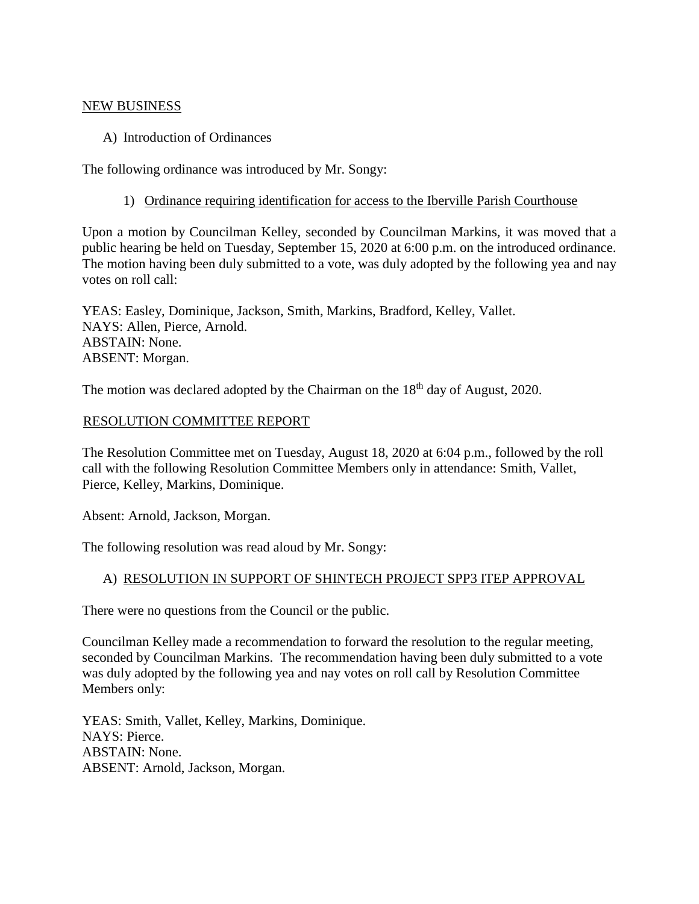#### NEW BUSINESS

A) Introduction of Ordinances

The following ordinance was introduced by Mr. Songy:

1) Ordinance requiring identification for access to the Iberville Parish Courthouse

Upon a motion by Councilman Kelley, seconded by Councilman Markins, it was moved that a public hearing be held on Tuesday, September 15, 2020 at 6:00 p.m. on the introduced ordinance. The motion having been duly submitted to a vote, was duly adopted by the following yea and nay votes on roll call:

YEAS: Easley, Dominique, Jackson, Smith, Markins, Bradford, Kelley, Vallet. NAYS: Allen, Pierce, Arnold. ABSTAIN: None. ABSENT: Morgan.

The motion was declared adopted by the Chairman on the 18<sup>th</sup> day of August, 2020.

#### RESOLUTION COMMITTEE REPORT

The Resolution Committee met on Tuesday, August 18, 2020 at 6:04 p.m., followed by the roll call with the following Resolution Committee Members only in attendance: Smith, Vallet, Pierce, Kelley, Markins, Dominique.

Absent: Arnold, Jackson, Morgan.

The following resolution was read aloud by Mr. Songy:

#### A) RESOLUTION IN SUPPORT OF SHINTECH PROJECT SPP3 ITEP APPROVAL

There were no questions from the Council or the public.

Councilman Kelley made a recommendation to forward the resolution to the regular meeting, seconded by Councilman Markins. The recommendation having been duly submitted to a vote was duly adopted by the following yea and nay votes on roll call by Resolution Committee Members only:

YEAS: Smith, Vallet, Kelley, Markins, Dominique. NAYS: Pierce. ABSTAIN: None. ABSENT: Arnold, Jackson, Morgan.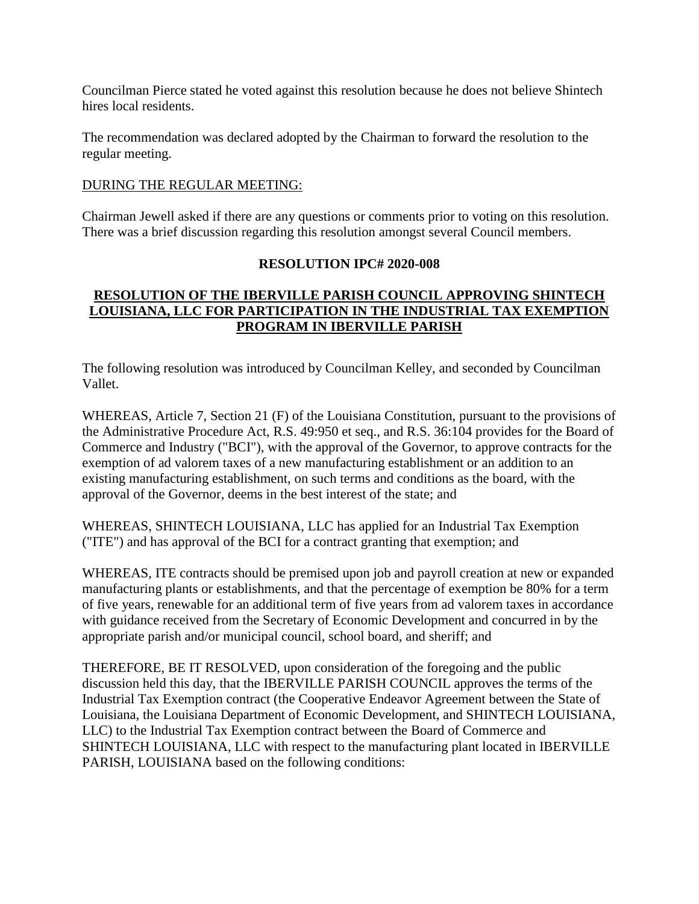Councilman Pierce stated he voted against this resolution because he does not believe Shintech hires local residents.

The recommendation was declared adopted by the Chairman to forward the resolution to the regular meeting.

## DURING THE REGULAR MEETING:

Chairman Jewell asked if there are any questions or comments prior to voting on this resolution. There was a brief discussion regarding this resolution amongst several Council members.

# **RESOLUTION IPC# 2020-008**

# **RESOLUTION OF THE IBERVILLE PARISH COUNCIL APPROVING SHINTECH LOUISIANA, LLC FOR PARTICIPATION IN THE INDUSTRIAL TAX EXEMPTION PROGRAM IN IBERVILLE PARISH**

The following resolution was introduced by Councilman Kelley, and seconded by Councilman Vallet.

WHEREAS, Article 7, Section 21 (F) of the Louisiana Constitution, pursuant to the provisions of the Administrative Procedure Act, R.S. 49:950 et seq., and R.S. 36:104 provides for the Board of Commerce and Industry ("BCI"), with the approval of the Governor, to approve contracts for the exemption of ad valorem taxes of a new manufacturing establishment or an addition to an existing manufacturing establishment, on such terms and conditions as the board, with the approval of the Governor, deems in the best interest of the state; and

WHEREAS, SHINTECH LOUISIANA, LLC has applied for an Industrial Tax Exemption ("ITE") and has approval of the BCI for a contract granting that exemption; and

WHEREAS, ITE contracts should be premised upon job and payroll creation at new or expanded manufacturing plants or establishments, and that the percentage of exemption be 80% for a term of five years, renewable for an additional term of five years from ad valorem taxes in accordance with guidance received from the Secretary of Economic Development and concurred in by the appropriate parish and/or municipal council, school board, and sheriff; and

THEREFORE, BE IT RESOLVED, upon consideration of the foregoing and the public discussion held this day, that the IBERVILLE PARISH COUNCIL approves the terms of the Industrial Tax Exemption contract (the Cooperative Endeavor Agreement between the State of Louisiana, the Louisiana Department of Economic Development, and SHINTECH LOUISIANA, LLC) to the Industrial Tax Exemption contract between the Board of Commerce and SHINTECH LOUISIANA, LLC with respect to the manufacturing plant located in IBERVILLE PARISH, LOUISIANA based on the following conditions: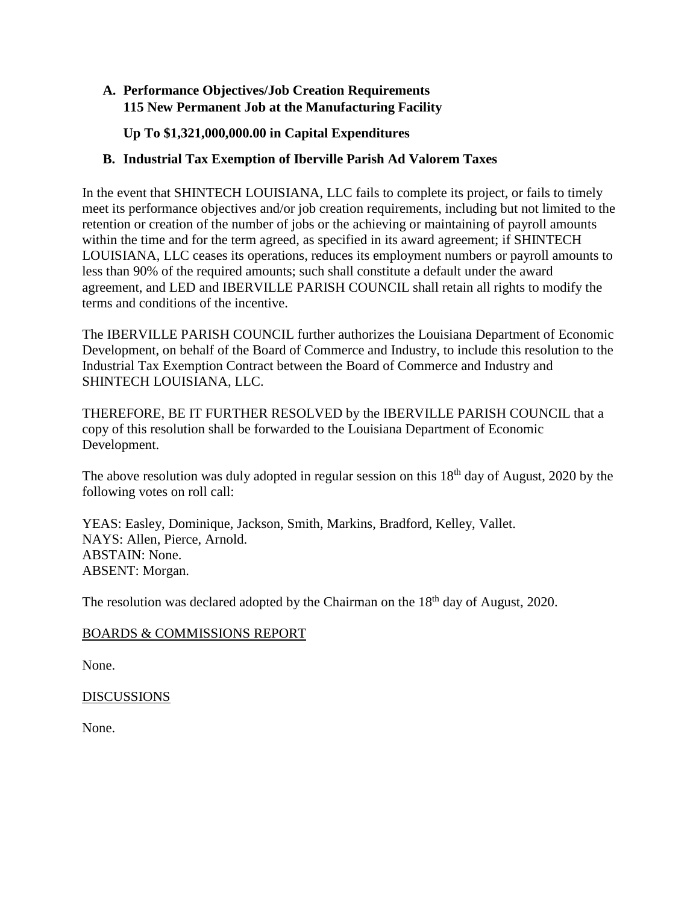# **A. Performance Objectives/Job Creation Requirements 115 New Permanent Job at the Manufacturing Facility**

**Up To \$1,321,000,000.00 in Capital Expenditures**

# **B. Industrial Tax Exemption of Iberville Parish Ad Valorem Taxes**

In the event that SHINTECH LOUISIANA, LLC fails to complete its project, or fails to timely meet its performance objectives and/or job creation requirements, including but not limited to the retention or creation of the number of jobs or the achieving or maintaining of payroll amounts within the time and for the term agreed, as specified in its award agreement; if SHINTECH LOUISIANA, LLC ceases its operations, reduces its employment numbers or payroll amounts to less than 90% of the required amounts; such shall constitute a default under the award agreement, and LED and IBERVILLE PARISH COUNCIL shall retain all rights to modify the terms and conditions of the incentive.

The IBERVILLE PARISH COUNCIL further authorizes the Louisiana Department of Economic Development, on behalf of the Board of Commerce and Industry, to include this resolution to the Industrial Tax Exemption Contract between the Board of Commerce and Industry and SHINTECH LOUISIANA, LLC.

THEREFORE, BE IT FURTHER RESOLVED by the IBERVILLE PARISH COUNCIL that a copy of this resolution shall be forwarded to the Louisiana Department of Economic Development.

The above resolution was duly adopted in regular session on this 18<sup>th</sup> day of August, 2020 by the following votes on roll call:

YEAS: Easley, Dominique, Jackson, Smith, Markins, Bradford, Kelley, Vallet. NAYS: Allen, Pierce, Arnold. ABSTAIN: None. ABSENT: Morgan.

The resolution was declared adopted by the Chairman on the 18<sup>th</sup> day of August, 2020.

# BOARDS & COMMISSIONS REPORT

None.

# DISCUSSIONS

None.